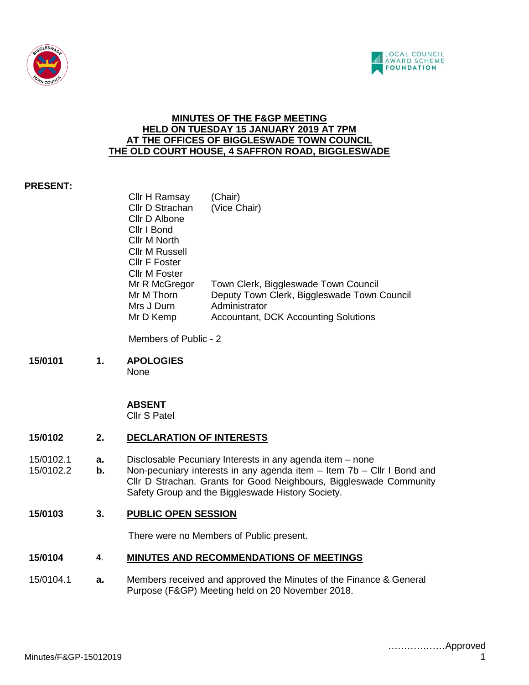



### **MINUTES OF THE F&GP MEETING HELD ON TUESDAY 15 JANUARY 2019 AT 7PM AT THE OFFICES OF BIGGLESWADE TOWN COUNCIL THE OLD COURT HOUSE, 4 SAFFRON ROAD, BIGGLESWADE**

## **PRESENT:**

| Cllr H Ramsay   | (Chair)                                     |
|-----------------|---------------------------------------------|
| Cllr D Strachan | (Vice Chair)                                |
| Cllr D Albone   |                                             |
| Cllr I Bond     |                                             |
| Cllr M North    |                                             |
| Cllr M Russell  |                                             |
| Cllr F Foster   |                                             |
| Cllr M Foster   |                                             |
| Mr R McGregor   | Town Clerk, Biggleswade Town Council        |
| Mr M Thorn      | Deputy Town Clerk, Biggleswade Town Council |
| Mrs J Durn      | Administrator                               |
| Mr D Kemp       | <b>Accountant, DCK Accounting Solutions</b> |
|                 |                                             |

Members of Public - 2

**15/0101 1. APOLOGIES** None

### **ABSENT**

Cllr S Patel

### **15/0102 2. DECLARATION OF INTERESTS**

- 15/0102.1 **a.** Disclosable Pecuniary Interests in any agenda item none
- 15/0102.2 **b.** Non-pecuniary interests in any agenda item Item 7b Cllr I Bond and Cllr D Strachan. Grants for Good Neighbours, Biggleswade Community Safety Group and the Biggleswade History Society.
- **15/0103 3. PUBLIC OPEN SESSION**

There were no Members of Public present.

### **15/0104 4**. **MINUTES AND RECOMMENDATIONS OF MEETINGS**

15/0104.1 **a.** Members received and approved the Minutes of the Finance & General Purpose (F&GP) Meeting held on 20 November 2018.

………………Approved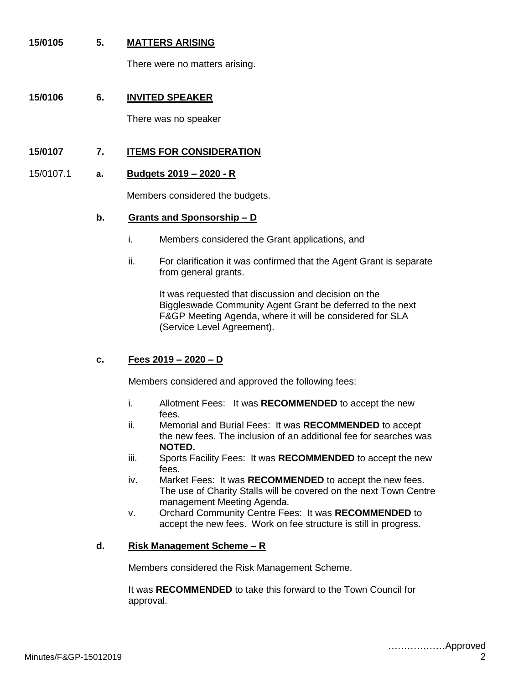## **15/0105 5. MATTERS ARISING**

There were no matters arising.

## **15/0106 6. INVITED SPEAKER**

There was no speaker

# **15/0107 7. ITEMS FOR CONSIDERATION**

#### 15/0107.1 **a. Budgets 2019 – 2020 - R**

Members considered the budgets.

#### **b. Grants and Sponsorship – D**

- i. Members considered the Grant applications, and
- ii. For clarification it was confirmed that the Agent Grant is separate from general grants.

It was requested that discussion and decision on the Biggleswade Community Agent Grant be deferred to the next F&GP Meeting Agenda, where it will be considered for SLA (Service Level Agreement).

#### **c. Fees 2019 – 2020 – D**

Members considered and approved the following fees:

- i. Allotment Fees: It was **RECOMMENDED** to accept the new fees.
- ii. Memorial and Burial Fees: It was **RECOMMENDED** to accept the new fees. The inclusion of an additional fee for searches was **NOTED.**
- iii. Sports Facility Fees: It was **RECOMMENDED** to accept the new fees.
- iv. Market Fees: It was **RECOMMENDED** to accept the new fees. The use of Charity Stalls will be covered on the next Town Centre management Meeting Agenda.
- v. Orchard Community Centre Fees: It was **RECOMMENDED** to accept the new fees. Work on fee structure is still in progress.

#### **d. Risk Management Scheme – R**

Members considered the Risk Management Scheme.

It was **RECOMMENDED** to take this forward to the Town Council for approval.